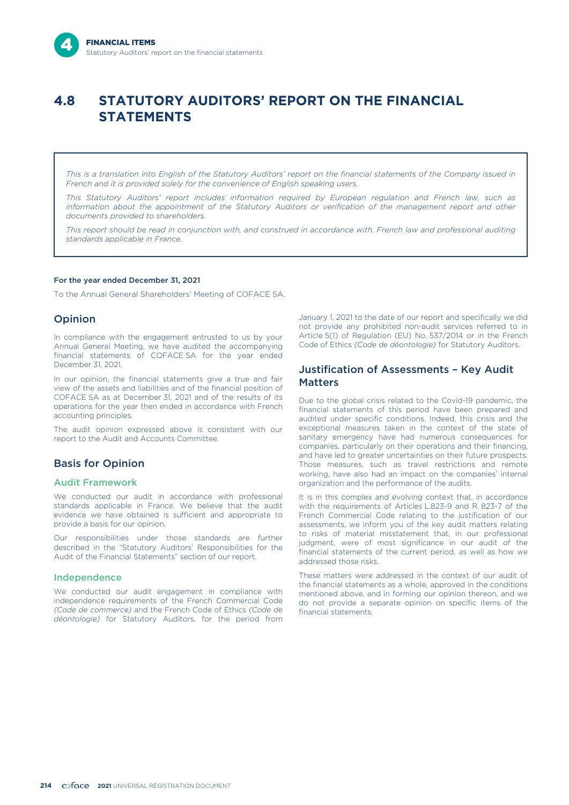# **4.8 STATUTORY AUDITORS' REPORT ON THE FINANCIAL STATEMENTS**

*This is a translation into English of the Statutory Auditors' report on the financial statements of the Company issued in French and it is provided solely for the convenience of English speaking users.*

*This Statutory Auditors' report includes information required by European regulation and French law, such as information about the appointment of the Statutory Auditors or verification of the management report and other documents provided to shareholders.*

*This report should be read in conjunction with, and construed in accordance with, French law and professional auditing standards applicable in France.*

#### For the year ended December 31, 2021

To the Annual General Shareholders' Meeting of COFACE SA.

## Opinion

In compliance with the engagement entrusted to us by your Annual General Meeting, we have audited the accompanying financial statements of COFACE SA for the year ended December 31, 2021.

In our opinion, the financial statements give a true and fair view of the assets and liabilities and of the financial position of COFACE SA as at December 31, 2021 and of the results of its operations for the year then ended in accordance with French accounting principles.

The audit opinion expressed above is consistent with our report to the Audit and Accounts Committee.

## Basis for Opinion

## Audit Framework

We conducted our audit in accordance with professional standards applicable in France. We believe that the audit evidence we have obtained is sufficient and appropriate to provide a basis for our opinion.

Our responsibilities under those standards are further described in the "Statutory Auditors' Responsibilities for the Audit of the Financial Statements" section of our report.

### Independence

We conducted our audit engagement in compliance with independence requirements of the French Commercial Code *(Code de commerce)* and the French Code of Ethics *(Code de déontologie)* for Statutory Auditors, for the period from January 1, 2021 to the date of our report and specifically we did not provide any prohibited non-audit services referred to in Article 5(1) of Regulation (EU) No. 537/2014 or in the French Code of Ethics *(Code de déontologie)* for Statutory Auditors.

## Justification of Assessments – Key Audit Matters

Due to the global crisis related to the Covid-19 pandemic, the financial statements of this period have been prepared and audited under specific conditions. Indeed, this crisis and the exceptional measures taken in the context of the state of sanitary emergency have had numerous consequences for companies, particularly on their operations and their financing, and have led to greater uncertainties on their future prospects. Those measures, such as travel restrictions and remote working, have also had an impact on the companies' internal organization and the performance of the audits.

It is in this complex and evolving context that, in accordance with the requirements of Articles L.823-9 and R. 823-7 of the French Commercial Code relating to the justification of our assessments, we inform you of the key audit matters relating to risks of material misstatement that, in our professional judgment, were of most significance in our audit of the financial statements of the current period, as well as how we addressed those risks.

These matters were addressed in the context of our audit of the financial statements as a whole, approved in the conditions mentioned above, and in forming our opinion thereon, and we do not provide a separate opinion on specific items of the financial statements.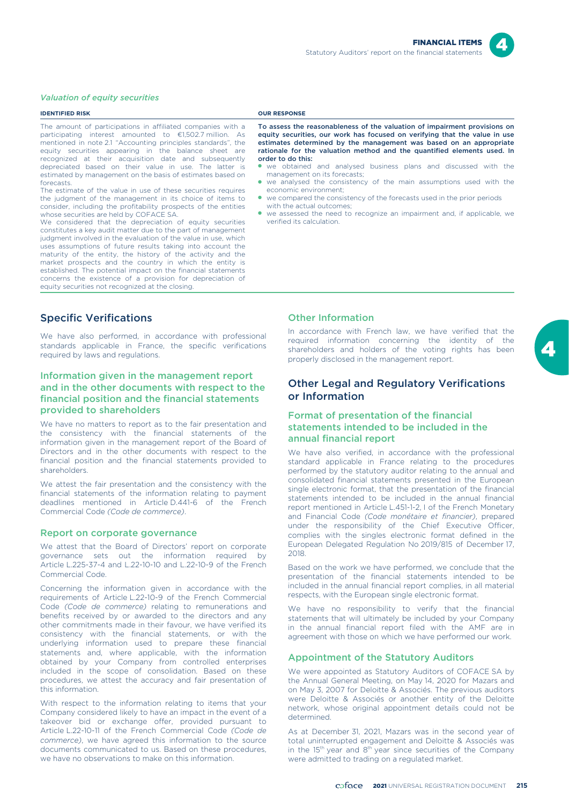

#### *Valuation of equity securities*

#### **IDENTIFIED RISK OUR RESPONSE** The amount of participations in affiliated companies with a participating interest amounted to €1,502.7 million. As mentioned in note 2.1 "Accounting principles standards", the equity securities appearing in the balance sheet are recognized at their acquisition date and subsequently depreciated based on their value in use. The latter is estimated by management on the basis of estimates based on forecasts. The estimate of the value in use of these securities requires the judgment of the management in its choice of items to consider, including the profitability prospects of the entities whose securities are held by COFACE SA. We considered that the depreciation of equity securities constitutes a key audit matter due to the part of management judgment involved in the evaluation of the value in use, which uses assumptions of future results taking into account the maturity of the entity, the history of the activity and the market prospects and the country in which the entity is established. The potential impact on the financial statements concerns the existence of a provision for depreciation of equity securities not recognized at the closing. To assess the reasonableness of the valuation of impairment provisions on equity securities, our work has focused on verifying that the value in use estimates determined by the management was based on an appropriate rationale for the valuation method and the quantified elements used. In order to do this: we obtained and analysed business plans and discussed with the management on its forecasts; we analysed the consistency of the main assumptions used with the economic environment; ● we compared the consistency of the forecasts used in the prior periods with the actual outcomes; ● we assessed the need to recognize an impairment and, if applicable, we verified its calculation. Specific Verifications Other Information

We have also performed, in accordance with professional standards applicable in France, the specific verifications required by laws and regulations.

## Information given in the management report and in the other documents with respect to the financial position and the financial statements provided to shareholders

We have no matters to report as to the fair presentation and the consistency with the financial statements of the information given in the management report of the Board of Directors and in the other documents with respect to the financial position and the financial statements provided to shareholders.

We attest the fair presentation and the consistency with the financial statements of the information relating to payment deadlines mentioned in Article D.441-6 of the French Commercial Code *(Code de commerce)*.

#### Report on corporate governance

We attest that the Board of Directors' report on corporate governance sets out the information required by Article L.225-37-4 and L.22-10-10 and L.22-10-9 of the French Commercial Code.

Concerning the information given in accordance with the requirements of Article L.22-10-9 of the French Commercial Code *(Code de commerce)* relating to remunerations and benefits received by or awarded to the directors and any other commitments made in their favour, we have verified its consistency with the financial statements, or with the underlying information used to prepare these financial statements and, where applicable, with the information obtained by your Company from controlled enterprises included in the scope of consolidation. Based on these procedures, we attest the accuracy and fair presentation of this information.

With respect to the information relating to items that your Company considered likely to have an impact in the event of a takeover bid or exchange offer, provided pursuant to Article L.22-10-11 of the French Commercial Code *(Code de commerce)*, we have agreed this information to the source documents communicated to us. Based on these procedures, we have no observations to make on this information.

In accordance with French law, we have verified that the required information concerning the identity of the shareholders and holders of the voting rights has been properly disclosed in the management report.

## Other Legal and Regulatory Verifications or Information

## Format of presentation of the financial statements intended to be included in the annual financial report

We have also verified, in accordance with the professional standard applicable in France relating to the procedures performed by the statutory auditor relating to the annual and consolidated financial statements presented in the European single electronic format, that the presentation of the financial statements intended to be included in the annual financial report mentioned in Article L.451-1-2, I of the French Monetary and Financial Code *(Code monétaire et financier)*, prepared under the responsibility of the Chief Executive Officer, complies with the singles electronic format defined in the European Delegated Regulation No 2019/815 of December 17, 2018.

Based on the work we have performed, we conclude that the presentation of the financial statements intended to be included in the annual financial report complies, in all material respects, with the European single electronic format.

We have no responsibility to verify that the financial statements that will ultimately be included by your Company in the annual financial report filed with the AMF are in agreement with those on which we have performed our work.

#### Appointment of the Statutory Auditors

We were appointed as Statutory Auditors of COFACE SA by the Annual General Meeting, on May 14, 2020 for Mazars and on May 3, 2007 for Deloitte & Associés. The previous auditors were Deloitte & Associés or another entity of the Deloitte network, whose original appointment details could not be determined.

As at December 31, 2021, Mazars was in the second year of total uninterrupted engagement and Deloitte & Associés was in the 15<sup>th</sup> year and 8<sup>th</sup> year since securities of the Company were admitted to trading on a regulated market.